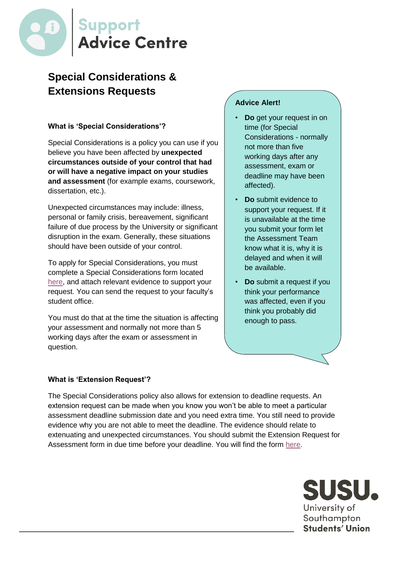

# **Special Considerations & Extensions Requests**

# **What is 'Special Considerations'?**

Special Considerations is a policy you can use if you believe you have been affected by **unexpected circumstances outside of your control that had or will have a negative impact on your studies and assessment** (for example exams, coursework, dissertation, etc.).

Unexpected circumstances may include: illness, personal or family crisis, bereavement, significant failure of due process by the University or significant disruption in the exam. Generally, these situations should have been outside of your control.

To apply for Special Considerations, you must complete a Special Considerations form located [here,](https://cdn.southampton.ac.uk/assets/imported/transforms/content-block/UsefulDownloads_Download/DA37E9EF181A483FAF3B3D3B3D8D4738/Special%20Considerations%20Request.docx#_ga=2.173784995.167423421.1540984800-1310536676.1527684200) and attach relevant evidence to support your request. You can send the request to your faculty's student office.

You must do that at the time the situation is affecting your assessment and normally not more than 5 working days after the exam or assessment in question.

## **Advice Alert!**

- **Do** get your request in on time (for Special Considerations - normally not more than five working days after any assessment, exam or deadline may have been affected).
- **Do** submit evidence to support your request. If it is unavailable at the time you submit your form let the Assessment Team know what it is, why it is delayed and when it will be available.
- **Do** submit a request if you think your performance was affected, even if you think you probably did enough to pass.

#### **What is 'Extension Request'?**

The Special Considerations policy also allows for extension to deadline requests. An extension request can be made when you know you won't be able to meet a particular assessment deadline submission date and you need extra time. You still need to provide evidence why you are not able to meet the deadline. The evidence should relate to extenuating and unexpected circumstances. You should submit the Extension Request for Assessment form in due time before your deadline. You will find the form [here.](https://cdn.southampton.ac.uk/assets/imported/transforms/content-block/UsefulDownloads_Download/DF7053C509004574BA29EBBA6399D3DE/Extension%20Request%20for%20Assessment.docx#_ga=2.173784995.167423421.1540984800-1310536676.1527684200)

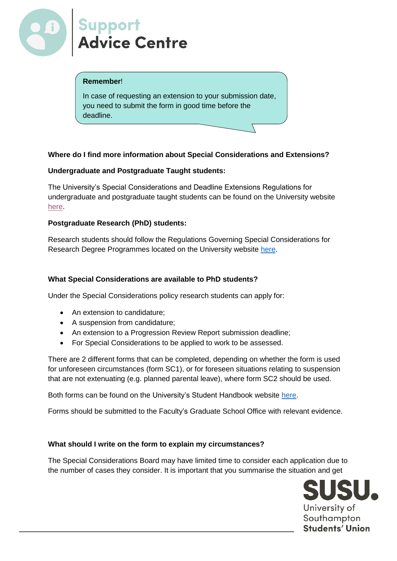

## **Remember**!

In case of requesting an extension to your submission date, you need to submit the form in good time before the deadline.

# **Where do I find more information about Special Considerations and Extensions?**

## **Undergraduate and Postgraduate Taught students:**

The University's Special Considerations and Deadline Extensions Regulations for undergraduate and postgraduate taught students can be found on the University website [here.](http://www.southampton.ac.uk/assets/sharepoint/intranet/calendar/publicdocuments/Special%20Considerations%20Regulations.pdf)

## **Postgraduate Research (PhD) students:**

Research students should follow the Regulations Governing Special Considerations for Research Degree Programmes located on the University website [here.](http://www.southampton.ac.uk/assets/sharepoint/intranet/calendar/publicdocuments/RegsSpecialConsiderationsResearch.pdf)

## **What Special Considerations are available to PhD students?**

Under the Special Considerations policy research students can apply for:

- An extension to candidature:
- A suspension from candidature;
- An extension to a Progression Review Report submission deadline;
- For Special Considerations to be applied to work to be assessed.

There are 2 different forms that can be completed, depending on whether the form is used for unforeseen circumstances (form SC1), or for foreseen situations relating to suspension that are not extenuating (e.g. planned parental leave), where form SC2 should be used.

Both forms can be found on the University's Student Handbook website [here.](https://www.southampton.ac.uk/quality/pgr/research_degree_candidature/pgrspecialconsiderations.page?)

Forms should be submitted to the Faculty's Graduate School Office with relevant evidence.

#### **What should I write on the form to explain my circumstances?**

The Special Considerations Board may have limited time to consider each application due to the number of cases they consider. It is important that you summarise the situation and get

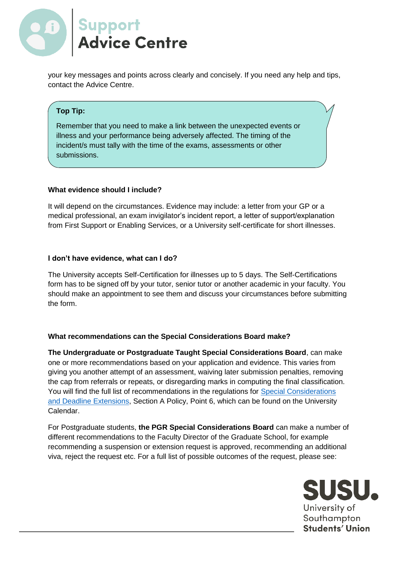

your key messages and points across clearly and concisely. If you need any help and tips, contact the Advice Centre.

# **Top Tip:**

Remember that you need to make a link between the unexpected events or illness and your performance being adversely affected. The timing of the incident/s must tally with the time of the exams, assessments or other submissions.

#### **What evidence should I include?**

It will depend on the circumstances. Evidence may include: a letter from your GP or a medical professional, an exam invigilator's incident report, a letter of support/explanation from First Support or Enabling Services, or a University self-certificate for short illnesses.

#### **I don't have evidence, what can I do?**

The University accepts Self-Certification for illnesses up to 5 days. The Self-Certifications form has to be signed off by your tutor, senior tutor or another academic in your faculty. You should make an appointment to see them and discuss your circumstances before submitting the form.

#### **What recommendations can the Special Considerations Board make?**

**The Undergraduate or Postgraduate Taught Special Considerations Board**, can make one or more recommendations based on your application and evidence. This varies from giving you another attempt of an assessment, waiving later submission penalties, removing the cap from referrals or repeats, or disregarding marks in computing the final classification. You will find the full list of recommendations in the regulations for Special Considerations [and Deadline Extensions,](http://www.southampton.ac.uk/assets/sharepoint/intranet/calendar/publicdocuments/Special%20Considerations%20Regulations.pdf) Section A Policy, Point 6, which can be found on the University Calendar.

For Postgraduate students, **the PGR Special Considerations Board** can make a number of different recommendations to the Faculty Director of the Graduate School, for example recommending a suspension or extension request is approved, recommending an additional viva, reject the request etc. For a full list of possible outcomes of the request, please see: